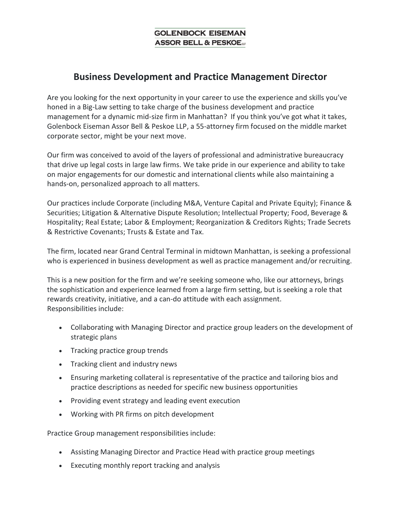## **Business Development and Practice Management Director**

Are you looking for the next opportunity in your career to use the experience and skills you've honed in a Big-Law setting to take charge of the business development and practice management for a dynamic mid-size firm in Manhattan? If you think you've got what it takes, Golenbock Eiseman Assor Bell & Peskoe LLP, a 55-attorney firm focused on the middle market corporate sector, might be your next move.

Our firm was conceived to avoid of the layers of professional and administrative bureaucracy that drive up legal costs in large law firms. We take pride in our experience and ability to take on major engagements for our domestic and international clients while also maintaining a hands-on, personalized approach to all matters.

Our practices include Corporate (including M&A, Venture Capital and Private Equity); Finance & Securities; Litigation & Alternative Dispute Resolution; Intellectual Property; Food, Beverage & Hospitality; Real Estate; Labor & Employment; Reorganization & Creditors Rights; Trade Secrets & Restrictive Covenants; Trusts & Estate and Tax.

The firm, located near Grand Central Terminal in midtown Manhattan, is seeking a professional who is experienced in business development as well as practice management and/or recruiting.

This is a new position for the firm and we're seeking someone who, like our attorneys, brings the sophistication and experience learned from a large firm setting, but is seeking a role that rewards creativity, initiative, and a can-do attitude with each assignment. Responsibilities include:

- Collaborating with Managing Director and practice group leaders on the development of strategic plans
- Tracking practice group trends
- Tracking client and industry news
- Ensuring marketing collateral is representative of the practice and tailoring bios and practice descriptions as needed for specific new business opportunities
- Providing event strategy and leading event execution
- Working with PR firms on pitch development

Practice Group management responsibilities include:

- Assisting Managing Director and Practice Head with practice group meetings
- Executing monthly report tracking and analysis